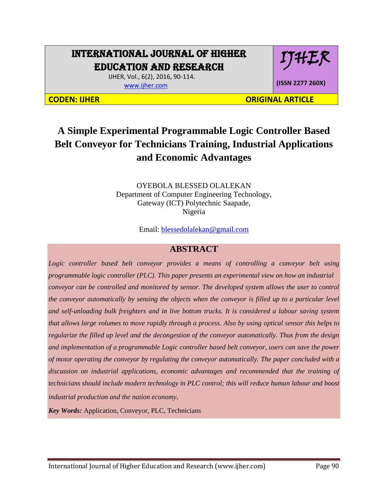# INTERNATIONAL JOURNAL OF HIGHER EDUCATION AND RESEARCH

IJHER

**(ISSN 2277 260X)**

 IJHER, Vol., 6(2), 2016, 90-114. [www.ijher.com](http://www.ijher.com/)

**CODEN: IJHER ORIGINAL ARTICLE** 

# **A Simple Experimental Programmable Logic Controller Based Belt Conveyor for Technicians Training, Industrial Applications and Economic Advantages**

OYEBOLA BLESSED OLALEKAN Department of Computer Engineering Technology, Gateway (ICT) Polytechnic Saapade, Nigeria

Email: [blessedolalekan@gmail.com](mailto:blessedolalekan@gmail.com)

# **ABSTRACT**

*Logic controller based belt conveyor provides a means of controlling a conveyor belt using programmable logic controller (PLC). This paper presents an experimental view on how an industrial conveyor can be controlled and monitored by sensor. The developed system allows the user to control the conveyor automatically by sensing the objects when the conveyor is filled up to a particular level and self-unloading bulk freighters and in live bottom trucks. It is considered a labour saving system that allows large volumes to move rapidly through a process. Also by using optical sensor this helps to regularize the filled up level and the decongestion of the conveyor automatically. Thus from the design and implementation of a programmable Logic controller based belt conveyor, users can save the power of motor operating the conveyor by regulating the conveyor automatically. The paper concluded with a discussion on industrial applications, economic advantages and recommended that the training of technicians should include modern technology in PLC control; this will reduce human labour and boost industrial production and the nation economy.*

*Key Words:* Application, Conveyor, PLC, Technicians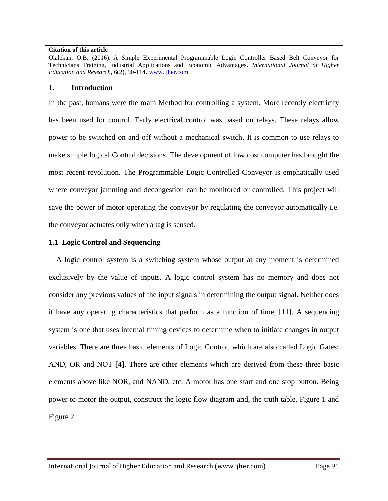#### **Citation of this article**

Olalekan, O.B. (2016). A Simple Experimental Programmable Logic Controller Based Belt Conveyor for Technicians Training, Industrial Applications and Economic Advantages. *International Journal of Higher Education and Research*, 6(2), 90-114. [www.ijher.com](http://www.ijher.com/)

#### **1. Introduction**

In the past, humans were the main Method for controlling a system. More recently electricity has been used for control. Early electrical control was based on relays. These relays allow power to be switched on and off without a mechanical switch. It is common to use relays to make simple logical Control decisions. The development of low cost computer has brought the most recent revolution. The Programmable Logic Controlled Conveyor is emphatically used where conveyor jamming and decongestion can be monitored or controlled. This project will save the power of motor operating the conveyor by regulating the conveyor automatically i.e. the conveyor actuates only when a tag is sensed.

## **1.1 Logic Control and Sequencing**

 A logic control system is a switching system whose output at any moment is determined exclusively by the value of inputs. A logic control system has no memory and does not consider any previous values of the input signals in determining the output signal. Neither does it have any operating characteristics that perform as a function of time, [11]. A sequencing system is one that uses internal timing devices to determine when to initiate changes in output variables. There are three basic elements of Logic Control, which are also called Logic Gates: AND, OR and NOT [4]. There are other elements which are derived from these three basic elements above like NOR, and NAND, etc. A motor has one start and one stop button. Being power to motor the output, construct the logic flow diagram and, the truth table, Figure 1 and Figure 2.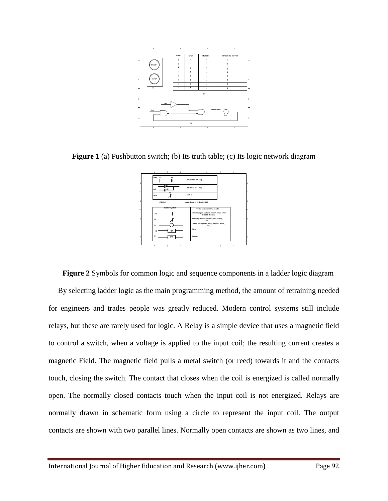

**Figure 1** (a) Pushbutton switch; (b) Its truth table; (c) Its logic network diagram



**Figure 2** Symbols for common logic and sequence components in a ladder logic diagram By selecting ladder logic as the main programming method, the amount of retraining needed for engineers and trades people was greatly reduced. Modern control systems still include relays, but these are rarely used for logic. A Relay is a simple device that uses a magnetic field to control a switch, when a voltage is applied to the input coil; the resulting current creates a magnetic Field. The magnetic field pulls a metal switch (or reed) towards it and the contacts touch, closing the switch. The contact that closes when the coil is energized is called normally open. The normally closed contacts touch when the input coil is not energized. Relays are normally drawn in schematic form using a circle to represent the input coil. The output contacts are shown with two parallel lines. Normally open contacts are shown as two lines, and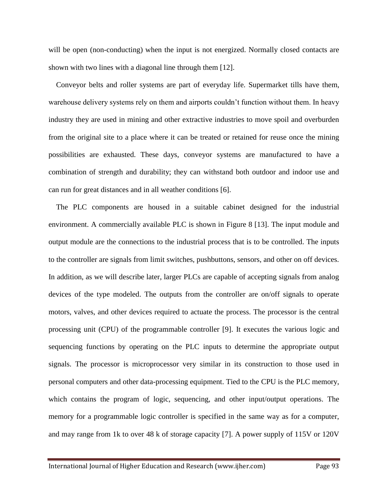will be open (non-conducting) when the input is not energized. Normally closed contacts are shown with two lines with a diagonal line through them [12].

 Conveyor belts and roller systems are part of everyday life. Supermarket tills have them, warehouse delivery systems rely on them and airports couldn't function without them. In heavy industry they are used in mining and other extractive industries to move spoil and overburden from the original site to a place where it can be treated or retained for reuse once the mining possibilities are exhausted. These days, conveyor systems are manufactured to have a combination of strength and durability; they can withstand both outdoor and indoor use and can run for great distances and in all weather conditions [6].

The PLC components are housed in a suitable cabinet designed for the industrial environment. A commercially available PLC is shown in Figure 8 [13]. The input module and output module are the connections to the industrial process that is to be controlled. The inputs to the controller are signals from limit switches, pushbuttons, sensors, and other on off devices. In addition, as we will describe later, larger PLCs are capable of accepting signals from analog devices of the type modeled. The outputs from the controller are on/off signals to operate motors, valves, and other devices required to actuate the process. The processor is the central processing unit (CPU) of the programmable controller [9]. It executes the various logic and sequencing functions by operating on the PLC inputs to determine the appropriate output signals. The processor is microprocessor very similar in its construction to those used in personal computers and other data-processing equipment. Tied to the CPU is the PLC memory, which contains the program of logic, sequencing, and other input/output operations. The memory for a programmable logic controller is specified in the same way as for a computer, and may range from 1k to over 48 k of storage capacity [7]. A power supply of 115V or 120V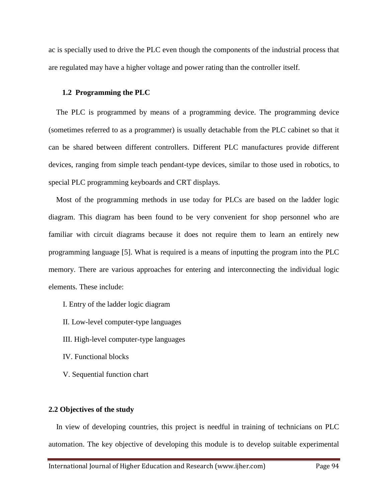ac is specially used to drive the PLC even though the components of the industrial process that are regulated may have a higher voltage and power rating than the controller itself.

#### **1.2 Programming the PLC**

 The PLC is programmed by means of a programming device. The programming device (sometimes referred to as a programmer) is usually detachable from the PLC cabinet so that it can be shared between different controllers. Different PLC manufactures provide different devices, ranging from simple teach pendant-type devices, similar to those used in robotics, to special PLC programming keyboards and CRT displays.

 Most of the programming methods in use today for PLCs are based on the ladder logic diagram. This diagram has been found to be very convenient for shop personnel who are familiar with circuit diagrams because it does not require them to learn an entirely new programming language [5]. What is required is a means of inputting the program into the PLC memory. There are various approaches for entering and interconnecting the individual logic elements. These include:

- I. Entry of the ladder logic diagram
- II. Low-level computer-type languages
- III. High-level computer-type languages
- IV. Functional blocks
- V. Sequential function chart

#### **2.2 Objectives of the study**

 In view of developing countries, this project is needful in training of technicians on PLC automation. The key objective of developing this module is to develop suitable experimental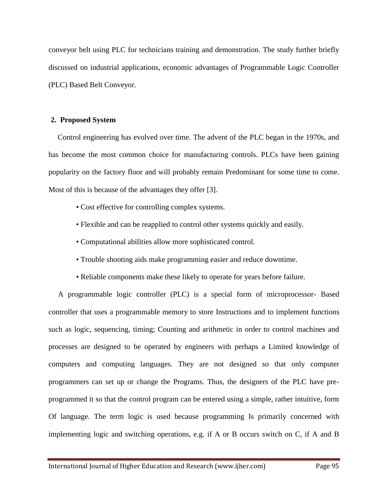conveyor belt using PLC for technicians training and demonstration. The study further briefly discussed on industrial applications, economic advantages of Programmable Logic Controller (PLC) Based Belt Conveyor.

#### **2. Proposed System**

 Control engineering has evolved over time. The advent of the PLC began in the 1970s, and has become the most common choice for manufacturing controls. PLCs have been gaining popularity on the factory floor and will probably remain Predominant for some time to come. Most of this is because of the advantages they offer [3].

- Cost effective for controlling complex systems.
- Flexible and can be reapplied to control other systems quickly and easily.
- Computational abilities allow more sophisticated control.
- Trouble shooting aids make programming easier and reduce downtime.
- Reliable components make these likely to operate for years before failure.

 A programmable logic controller (PLC) is a special form of microprocessor- Based controller that uses a programmable memory to store Instructions and to implement functions such as logic, sequencing, timing; Counting and arithmetic in order to control machines and processes are designed to be operated by engineers with perhaps a Limited knowledge of computers and computing languages. They are not designed so that only computer programmers can set up or change the Programs. Thus, the designers of the PLC have preprogrammed it so that the control program can be entered using a simple, rather intuitive, form Of language. The term logic is used because programming Is primarily concerned with implementing logic and switching operations, e.g. if A or B occurs switch on C, if A and B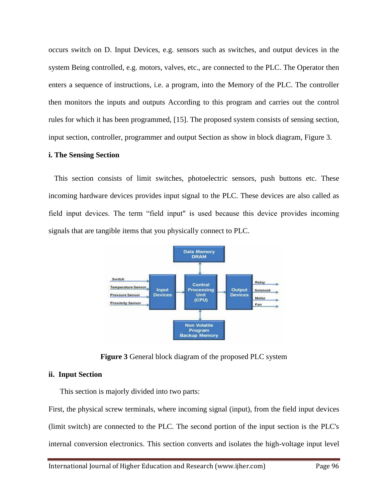occurs switch on D. Input Devices, e.g. sensors such as switches, and output devices in the system Being controlled, e.g. motors, valves, etc., are connected to the PLC. The Operator then enters a sequence of instructions, i.e. a program, into the Memory of the PLC. The controller then monitors the inputs and outputs According to this program and carries out the control rules for which it has been programmed, [15]. The proposed system consists of sensing section, input section, controller, programmer and output Section as show in block diagram, Figure 3.

#### **i. The Sensing Section**

 This section consists of limit switches, photoelectric sensors, push buttons etc. These incoming hardware devices provides input signal to the PLC. These devices are also called as field input devices. The term "field input" is used because this device provides incoming signals that are tangible items that you physically connect to PLC.



**Figure 3** General block diagram of the proposed PLC system

## **ii. Input Section**

This section is majorly divided into two parts:

First, the physical screw terminals, where incoming signal (input), from the field input devices (limit switch) are connected to the PLC. The second portion of the input section is the PLC's internal conversion electronics. This section converts and isolates the high-voltage input level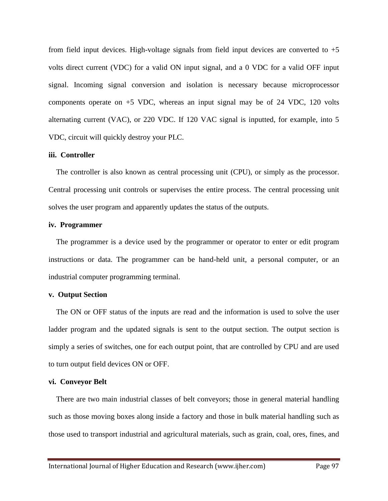from field input devices. High-voltage signals from field input devices are converted to  $+5$ volts direct current (VDC) for a valid ON input signal, and a 0 VDC for a valid OFF input signal. Incoming signal conversion and isolation is necessary because microprocessor components operate on  $+5$  VDC, whereas an input signal may be of 24 VDC, 120 volts alternating current (VAC), or 220 VDC. If 120 VAC signal is inputted, for example, into 5 VDC, circuit will quickly destroy your PLC.

#### **iii. Controller**

 The controller is also known as central processing unit (CPU), or simply as the processor. Central processing unit controls or supervises the entire process. The central processing unit solves the user program and apparently updates the status of the outputs.

#### **iv. Programmer**

 The programmer is a device used by the programmer or operator to enter or edit program instructions or data. The programmer can be hand-held unit, a personal computer, or an industrial computer programming terminal.

#### **v. Output Section**

 The ON or OFF status of the inputs are read and the information is used to solve the user ladder program and the updated signals is sent to the output section. The output section is simply a series of switches, one for each output point, that are controlled by CPU and are used to turn output field devices ON or OFF.

#### **vi. Conveyor Belt**

 There are two main industrial classes of belt conveyors; those in general material handling such as those moving boxes along inside a factory and those in bulk material handling such as those used to transport industrial and agricultural materials, such as grain, coal, ores, fines, and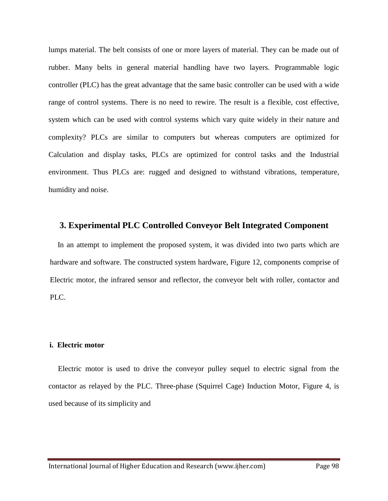lumps material. The belt consists of one or more layers of material. They can be made out of rubber. Many belts in general material handling have two layers. Programmable logic controller (PLC) has the great advantage that the same basic controller can be used with a wide range of control systems. There is no need to rewire. The result is a flexible, cost effective, system which can be used with control systems which vary quite widely in their nature and complexity? PLCs are similar to computers but whereas computers are optimized for Calculation and display tasks, PLCs are optimized for control tasks and the Industrial environment. Thus PLCs are: rugged and designed to withstand vibrations, temperature, humidity and noise.

## **3. Experimental PLC Controlled Conveyor Belt Integrated Component**

 In an attempt to implement the proposed system, it was divided into two parts which are hardware and software. The constructed system hardware, Figure 12, components comprise of Electric motor, the infrared sensor and reflector, the conveyor belt with roller, contactor and PLC.

#### **i. Electric motor**

 Electric motor is used to drive the conveyor pulley sequel to electric signal from the contactor as relayed by the PLC. Three-phase (Squirrel Cage) Induction Motor, Figure 4, is used because of its simplicity and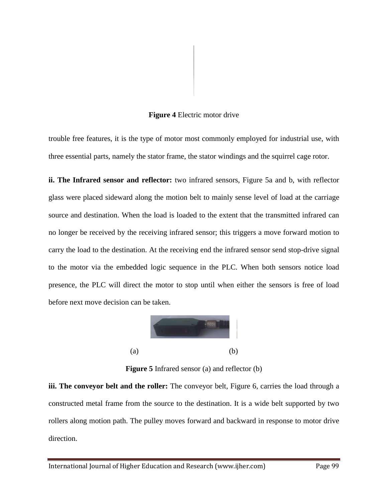#### **Figure 4** Electric motor drive

trouble free features, it is the type of motor most commonly employed for industrial use, with three essential parts, namely the stator frame, the stator windings and the squirrel cage rotor.

**ii. The Infrared sensor and reflector:** two infrared sensors, Figure 5a and b, with reflector glass were placed sideward along the motion belt to mainly sense level of load at the carriage source and destination. When the load is loaded to the extent that the transmitted infrared can no longer be received by the receiving infrared sensor; this triggers a move forward motion to carry the load to the destination. At the receiving end the infrared sensor send stop-drive signal to the motor via the embedded logic sequence in the PLC. When both sensors notice load presence, the PLC will direct the motor to stop until when either the sensors is free of load before next move decision can be taken.



**Figure 5** Infrared sensor (a) and reflector (b)

**iii. The conveyor belt and the roller:** The conveyor belt, Figure 6, carries the load through a constructed metal frame from the source to the destination. It is a wide belt supported by two rollers along motion path. The pulley moves forward and backward in response to motor drive direction.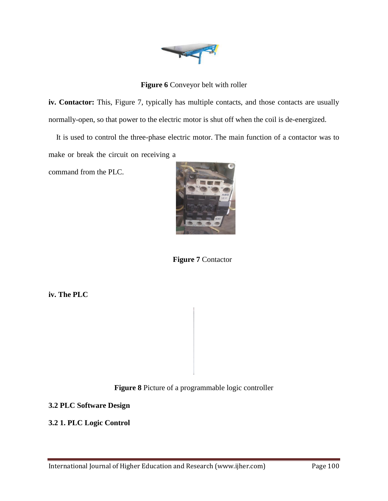

**Figure 6** Conveyor belt with roller

iv. Contactor: This, Figure 7, typically has multiple contacts, and those contacts are usually normally-open, so that power to the electric motor is shut off when the coil is de-energized.

 It is used to control the three-phase electric motor. The main function of a contactor was to make or break the circuit on receiving a

command from the PLC.



**Figure 7** Contactor

**iv. The PLC**

**Figure 8** Picture of a programmable logic controller

**3.2 PLC Software Design**

**3.2 1. PLC Logic Control**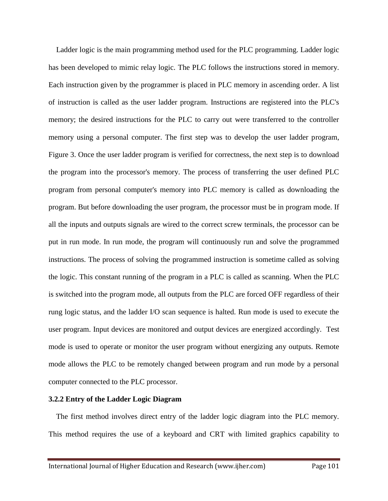Ladder logic is the main programming method used for the PLC programming. Ladder logic has been developed to mimic relay logic. The PLC follows the instructions stored in memory. Each instruction given by the programmer is placed in PLC memory in ascending order. A list of instruction is called as the user ladder program. Instructions are registered into the PLC's memory; the desired instructions for the PLC to carry out were transferred to the controller memory using a personal computer. The first step was to develop the user ladder program, Figure 3. Once the user ladder program is verified for correctness, the next step is to download the program into the processor's memory. The process of transferring the user defined PLC program from personal computer's memory into PLC memory is called as downloading the program. But before downloading the user program, the processor must be in program mode. If all the inputs and outputs signals are wired to the correct screw terminals, the processor can be put in run mode. In run mode, the program will continuously run and solve the programmed instructions. The process of solving the programmed instruction is sometime called as solving the logic. This constant running of the program in a PLC is called as scanning. When the PLC is switched into the program mode, all outputs from the PLC are forced OFF regardless of their rung logic status, and the ladder I/O scan sequence is halted. Run mode is used to execute the user program. Input devices are monitored and output devices are energized accordingly. Test mode is used to operate or monitor the user program without energizing any outputs. Remote mode allows the PLC to be remotely changed between program and run mode by a personal computer connected to the PLC processor.

#### **3.2.2 Entry of the Ladder Logic Diagram**

 The first method involves direct entry of the ladder logic diagram into the PLC memory. This method requires the use of a keyboard and CRT with limited graphics capability to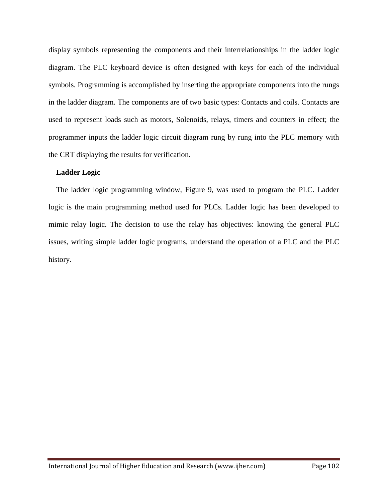display symbols representing the components and their interrelationships in the ladder logic diagram. The PLC keyboard device is often designed with keys for each of the individual symbols. Programming is accomplished by inserting the appropriate components into the rungs in the ladder diagram. The components are of two basic types: Contacts and coils. Contacts are used to represent loads such as motors, Solenoids, relays, timers and counters in effect; the programmer inputs the ladder logic circuit diagram rung by rung into the PLC memory with the CRT displaying the results for verification.

#### **Ladder Logic**

 The ladder logic programming window, Figure 9, was used to program the PLC. Ladder logic is the main programming method used for PLCs. Ladder logic has been developed to mimic relay logic. The decision to use the relay has objectives: knowing the general PLC issues, writing simple ladder logic programs, understand the operation of a PLC and the PLC history.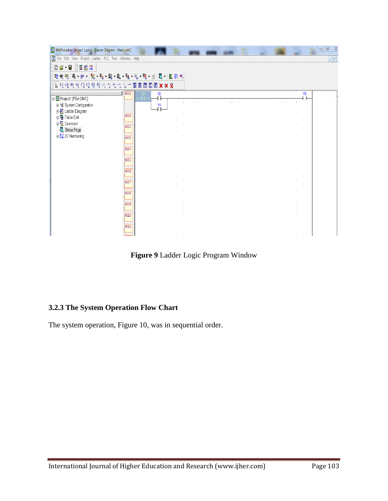| WinProLadder [project 1.pdw] - [Ladder Diagram - Main_unit1]                                                                                                                                                                                                                   |                                                    |                |  |  |  |  |  |  |                            | $\Box$<br>$\Sigma$<br>и |
|--------------------------------------------------------------------------------------------------------------------------------------------------------------------------------------------------------------------------------------------------------------------------------|----------------------------------------------------|----------------|--|--|--|--|--|--|----------------------------|-------------------------|
| $\boxed{\mathbb{Z}}$ File<br>$ \sigma$<br>Edit View<br>Project Ladder PLC Tool Window Help                                                                                                                                                                                     |                                                    |                |  |  |  |  |  |  |                            |                         |
| $\frac{\text{OR6}}{\text{AND}}$<br>Dé<br>$\cdot$ $\blacksquare$<br>Ï,<br>響                                                                                                                                                                                                     |                                                    |                |  |  |  |  |  |  |                            |                         |
| 礒<br>$\sim \overline{q}q$ :<br>F)<br>$\frac{1}{2}$<br>$\bullet$ $\frac{m}{B}$ :<br><b>、创</b><br>ዹ<br>$\mathbf{v} \in \mathbb{R}^{n \times \frac{m}{\mathbf{p}}$<br>ŏ<br>圆圆术<br>體變<br>盟<br>▼脚<br>$\pmb{\mathrm{v}}$<br>$\bar{\mathbf{v}}$<br>$\bar{\mathbf{v}}$<br>$\mathbf{v}$ |                                                    |                |  |  |  |  |  |  |                            |                         |
| 身情情性性の役の<br>$\mathcal{R}^0_{\mathsf{R}}$<br>$E$ X X $\vec{X}$<br>$\overline{\mathbf{s}}$<br>$R$ $T$<br>O<br>$\gamma_{\rm r}$<br>情<br>$\rightarrow$<br>T,<br>lv.<br>'N.                                                                                                         |                                                    |                |  |  |  |  |  |  |                            |                         |
| E-C Project1 [FBe-20MC]                                                                                                                                                                                                                                                        | $\frac{1 \times 1}{2}$ $\sqrt{0.000}$<br>KO.<br>ťΪ | X1<br>ΪŦ       |  |  |  |  |  |  | Y <sub>0</sub><br>$^{(+)}$ |                         |
| 中容 System Configuration<br>Ladder Diagram<br>由 Table Edit<br>山 <b>路</b> Comment<br>Status Page<br><b>E- I/O</b> Numbering                                                                                                                                                      |                                                    | Y <sub>0</sub> |  |  |  |  |  |  |                            | $\epsilon$              |
|                                                                                                                                                                                                                                                                                | N001                                               | Ιŀ             |  |  |  |  |  |  |                            | $\mathcal{L}$           |
|                                                                                                                                                                                                                                                                                |                                                    |                |  |  |  |  |  |  |                            |                         |
|                                                                                                                                                                                                                                                                                | <b>NO02</b>                                        |                |  |  |  |  |  |  |                            | $\alpha$                |
|                                                                                                                                                                                                                                                                                | <b>NO03</b>                                        |                |  |  |  |  |  |  |                            | $\epsilon$              |
|                                                                                                                                                                                                                                                                                | <b>NO04</b>                                        |                |  |  |  |  |  |  |                            | $\alpha$                |
|                                                                                                                                                                                                                                                                                |                                                    |                |  |  |  |  |  |  |                            | $\alpha$                |
|                                                                                                                                                                                                                                                                                | <b>NO05</b>                                        |                |  |  |  |  |  |  |                            |                         |
|                                                                                                                                                                                                                                                                                | <b>NO06</b>                                        |                |  |  |  |  |  |  |                            | $\alpha$                |
|                                                                                                                                                                                                                                                                                | <b>NO07</b>                                        |                |  |  |  |  |  |  |                            | $\mathcal{L}$           |
|                                                                                                                                                                                                                                                                                | <b>NO08</b>                                        |                |  |  |  |  |  |  |                            | $\alpha$                |
|                                                                                                                                                                                                                                                                                |                                                    |                |  |  |  |  |  |  |                            |                         |
|                                                                                                                                                                                                                                                                                | <b>NO09</b>                                        |                |  |  |  |  |  |  |                            | $\alpha$                |
|                                                                                                                                                                                                                                                                                | N010                                               |                |  |  |  |  |  |  |                            | $\alpha$                |
|                                                                                                                                                                                                                                                                                | $\overline{N011}$                                  |                |  |  |  |  |  |  |                            | $\alpha$                |
|                                                                                                                                                                                                                                                                                |                                                    |                |  |  |  |  |  |  |                            |                         |

**Figure 9** Ladder Logic Program Window

# **3.2.3 The System Operation Flow Chart**

The system operation, Figure 10, was in sequential order.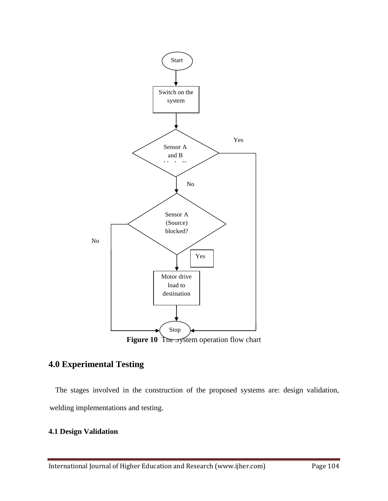

# **4.0 Experimental Testing**

 The stages involved in the construction of the proposed systems are: design validation, welding implementations and testing.

# **4.1 Design Validation**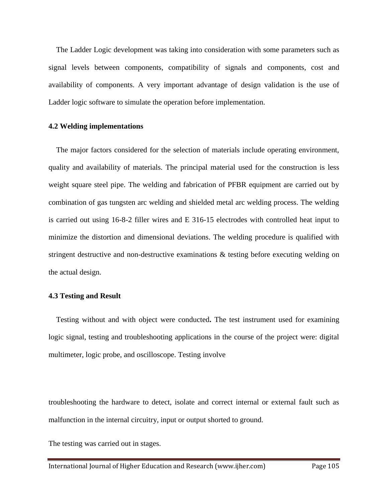The Ladder Logic development was taking into consideration with some parameters such as signal levels between components, compatibility of signals and components, cost and availability of components. A very important advantage of design validation is the use of Ladder logic software to simulate the operation before implementation.

#### **4.2 Welding implementations**

 The major factors considered for the selection of materials include operating environment, quality and availability of materials. The principal material used for the construction is less weight square steel pipe. The welding and fabrication of PFBR equipment are carried out by combination of gas tungsten arc welding and shielded metal arc welding process. The welding is carried out using 16-8-2 filler wires and E 316-15 electrodes with controlled heat input to minimize the distortion and dimensional deviations. The welding procedure is qualified with stringent destructive and non-destructive examinations & testing before executing welding on the actual design.

#### **4.3 Testing and Result**

Testing without and with object were conducted**.** The test instrument used for examining logic signal, testing and troubleshooting applications in the course of the project were: digital multimeter, logic probe, and oscilloscope. Testing involve

troubleshooting the hardware to detect, isolate and correct internal or external fault such as malfunction in the internal circuitry, input or output shorted to ground.

The testing was carried out in stages.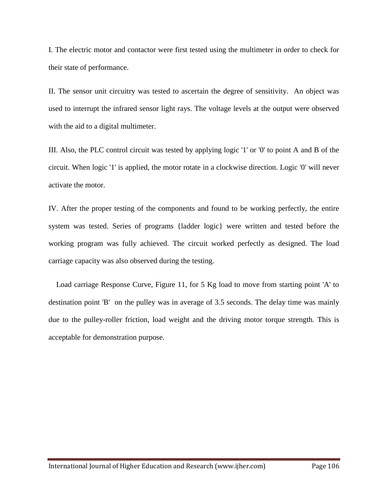I. The electric motor and contactor were first tested using the multimeter in order to check for their state of performance.

II. The sensor unit circuitry was tested to ascertain the degree of sensitivity. An object was used to interrupt the infrared sensor light rays. The voltage levels at the output were observed with the aid to a digital multimeter.

III. Also, the PLC control circuit was tested by applying logic '1' or '0' to point A and B of the circuit. When logic '1' is applied, the motor rotate in a clockwise direction. Logic '0' will never activate the motor.

IV. After the proper testing of the components and found to be working perfectly, the entire system was tested. Series of programs {ladder logic} were written and tested before the working program was fully achieved. The circuit worked perfectly as designed. The load carriage capacity was also observed during the testing.

Load carriage Response Curve, Figure 11, for 5 Kg load to move from starting point 'A' to destination point 'B' on the pulley was in average of 3.5 seconds. The delay time was mainly due to the pulley-roller friction, load weight and the driving motor torque strength. This is acceptable for demonstration purpose.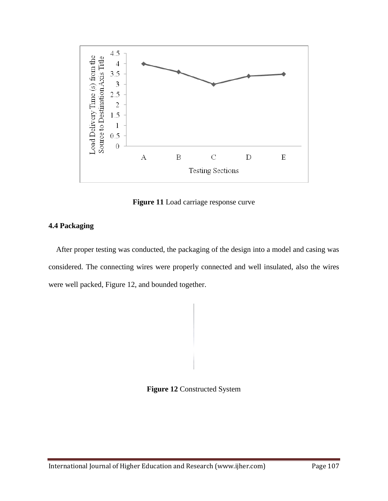

**Figure 11** Load carriage response curve

# **4.4 Packaging**

After proper testing was conducted, the packaging of the design into a model and casing was considered. The connecting wires were properly connected and well insulated, also the wires were well packed, Figure 12, and bounded together.

**Figure 12** Constructed System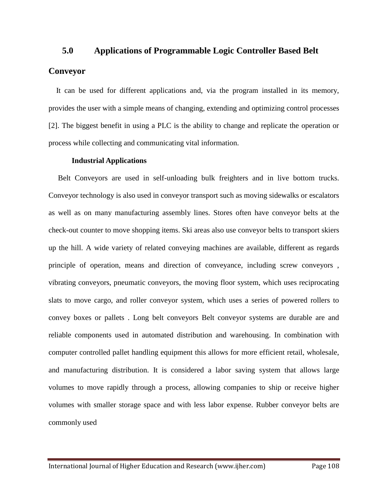## **5.0 Applications of Programmable Logic Controller Based Belt**

# **Conveyor**

 It can be used for different applications and, via the program installed in its memory, provides the user with a simple means of changing, extending and optimizing control processes [2]. The biggest benefit in using a PLC is the ability to change and replicate the operation or process while collecting and communicating vital information.

#### **Industrial Applications**

 Belt Conveyors are used in self-unloading bulk freighters and in live bottom trucks. Conveyor technology is also used in conveyor transport such as moving sidewalks or escalators as well as on many manufacturing assembly lines. Stores often have conveyor belts at the check-out counter to move shopping items. Ski areas also use conveyor belts to transport skiers up the hill. A wide variety of related conveying machines are available, different as regards principle of operation, means and direction of conveyance, including screw conveyors , vibrating conveyors, pneumatic conveyors, the moving floor system, which uses reciprocating slats to move cargo, and roller conveyor system, which uses a series of powered rollers to convey boxes or pallets . Long belt conveyors Belt conveyor systems are durable are and reliable components used in automated distribution and warehousing. In combination with computer controlled pallet handling equipment this allows for more efficient retail, wholesale, and manufacturing distribution. It is considered a labor saving system that allows large volumes to move rapidly through a process, allowing companies to ship or receive higher volumes with smaller storage space and with less labor expense. Rubber conveyor belts are commonly used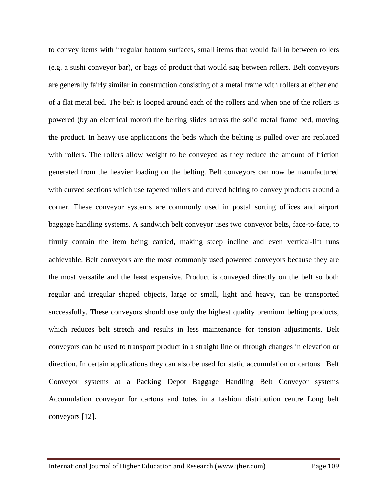to convey items with irregular bottom surfaces, small items that would fall in between rollers (e.g. a sushi conveyor bar), or bags of product that would sag between rollers. Belt conveyors are generally fairly similar in construction consisting of a metal frame with rollers at either end of a flat metal bed. The belt is looped around each of the rollers and when one of the rollers is powered (by an electrical motor) the belting slides across the solid metal frame bed, moving the product. In heavy use applications the beds which the belting is pulled over are replaced with rollers. The rollers allow weight to be conveyed as they reduce the amount of friction generated from the heavier loading on the belting. Belt conveyors can now be manufactured with curved sections which use tapered rollers and curved belting to convey products around a corner. These conveyor systems are commonly used in postal sorting offices and airport baggage handling systems. A sandwich belt conveyor uses two conveyor belts, face-to-face, to firmly contain the item being carried, making steep incline and even vertical-lift runs achievable. Belt conveyors are the most commonly used powered conveyors because they are the most versatile and the least expensive. Product is conveyed directly on the belt so both regular and irregular shaped objects, large or small, light and heavy, can be transported successfully. These conveyors should use only the highest quality premium belting products, which reduces belt stretch and results in less maintenance for tension adjustments. Belt conveyors can be used to transport product in a straight line or through changes in elevation or direction. In certain applications they can also be used for static accumulation or cartons. Belt Conveyor systems at a Packing Depot Baggage Handling Belt Conveyor systems Accumulation conveyor for cartons and totes in a fashion distribution centre Long belt conveyors [12].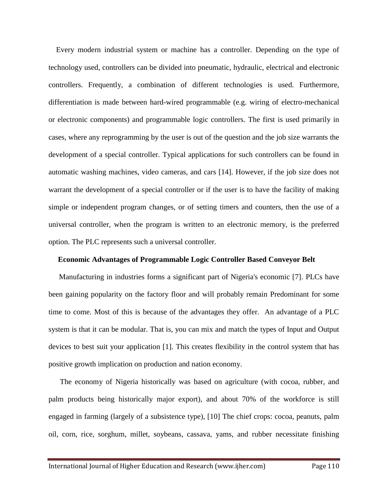Every modern industrial system or machine has a controller. Depending on the type of technology used, controllers can be divided into pneumatic, hydraulic, electrical and electronic controllers. Frequently, a combination of different technologies is used. Furthermore, differentiation is made between hard-wired programmable (e.g. wiring of electro-mechanical or electronic components) and programmable logic controllers. The first is used primarily in cases, where any reprogramming by the user is out of the question and the job size warrants the development of a special controller. Typical applications for such controllers can be found in automatic washing machines, video cameras, and cars [14]. However, if the job size does not warrant the development of a special controller or if the user is to have the facility of making simple or independent program changes, or of setting timers and counters, then the use of a universal controller, when the program is written to an electronic memory, is the preferred option. The PLC represents such a universal controller.

#### **Economic Advantages of Programmable Logic Controller Based Conveyor Belt**

Manufacturing in industries forms a significant part of Nigeria's economic [7]. PLCs have been gaining popularity on the factory floor and will probably remain Predominant for some time to come. Most of this is because of the advantages they offer. An advantage of a PLC system is that it can be modular. That is, you can mix and match the types of Input and Output devices to best suit your application [1]. This creates flexibility in the control system that has positive growth implication on production and nation economy.

 The economy of Nigeria historically was based on agriculture (with cocoa, rubber, and palm products being historically major export), and about 70% of the workforce is still engaged in farming (largely of a subsistence type), [10] The chief crops: cocoa, peanuts, palm oil, corn, rice, sorghum, millet, soybeans, cassava, yams, and rubber necessitate finishing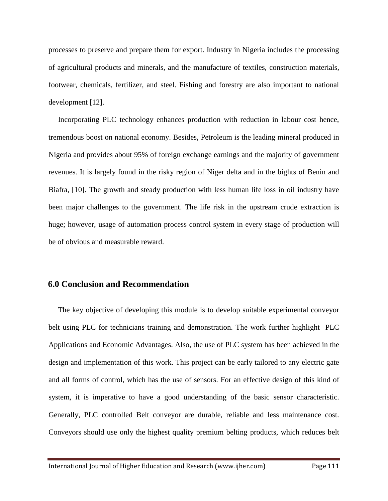processes to preserve and prepare them for export. Industry in Nigeria includes the processing of agricultural products and minerals, and the manufacture of textiles, construction materials, footwear, chemicals, fertilizer, and steel. Fishing and forestry are also important to national development [12].

 Incorporating PLC technology enhances production with reduction in labour cost hence, tremendous boost on national economy. Besides, Petroleum is the leading mineral produced in Nigeria and provides about 95% of foreign exchange earnings and the majority of government revenues. It is largely found in the risky region of Niger delta and in the bights of Benin and Biafra, [10]. The growth and steady production with less human life loss in oil industry have been major challenges to the government. The life risk in the upstream crude extraction is huge; however, usage of automation process control system in every stage of production will be of obvious and measurable reward.

# **6.0 Conclusion and Recommendation**

 The key objective of developing this module is to develop suitable experimental conveyor belt using PLC for technicians training and demonstration. The work further highlight PLC Applications and Economic Advantages. Also, the use of PLC system has been achieved in the design and implementation of this work. This project can be early tailored to any electric gate and all forms of control, which has the use of sensors. For an effective design of this kind of system, it is imperative to have a good understanding of the basic sensor characteristic. Generally, PLC controlled Belt conveyor are durable, reliable and less maintenance cost. Conveyors should use only the highest quality premium belting products, which reduces belt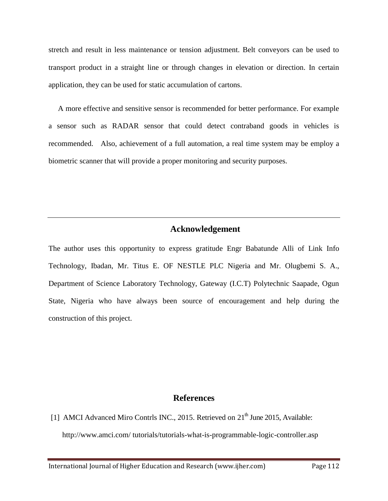stretch and result in less maintenance or tension adjustment. Belt conveyors can be used to transport product in a straight line or through changes in elevation or direction. In certain application, they can be used for static accumulation of cartons.

A more effective and sensitive sensor is recommended for better performance. For example a sensor such as RADAR sensor that could detect contraband goods in vehicles is recommended. Also, achievement of a full automation, a real time system may be employ a biometric scanner that will provide a proper monitoring and security purposes.

# **Acknowledgement**

The author uses this opportunity to express gratitude Engr Babatunde Alli of Link Info Technology, Ibadan, Mr. Titus E. OF NESTLE PLC Nigeria and Mr. Olugbemi S. A., Department of Science Laboratory Technology, Gateway (I.C.T) Polytechnic Saapade, Ogun State, Nigeria who have always been source of encouragement and help during the construction of this project.

# **References**

[1] AMCI Advanced Miro Contrls INC., 2015. Retrieved on 21<sup>th</sup> June 2015, Available: http://www.amci.com/ tutorials/tutorials-what-is-programmable-logic-controller.asp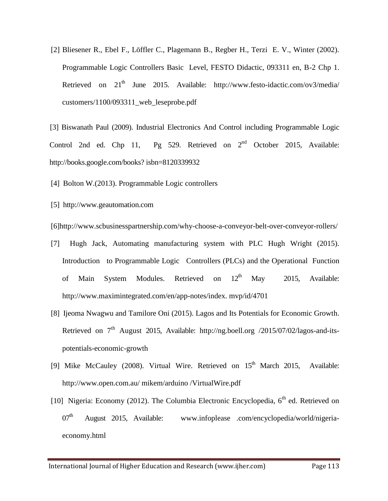[2] Bliesener R., Ebel F., Löffler C., Plagemann B., Regber H., Terzi E. V., Winter (2002). Programmable Logic Controllers Basic Level, FESTO Didactic, 093311 en, B-2 Chp 1. Retrieved on  $21<sup>th</sup>$  June 2015. Available: http://www.festo-idactic.com/ov3/media/ customers/1100/093311\_web\_leseprobe.pdf

[3] Biswanath Paul (2009). Industrial Electronics And Control including Programmable Logic Control 2nd ed. Chp 11, Pg 529. Retrieved on  $2<sup>nd</sup>$  October 2015, Available: http://books.google.com/books? isbn=8120339932

- [4] Bolton W.(2013). Programmable Logic controllers
- [5] http://www.geautomation.com

[6]http://www.scbusinesspartnership.com/why-choose-a-conveyor-belt-over-conveyor-rollers/

- [7] Hugh Jack, Automating manufacturing system with PLC Hugh Wright (2015). Introduction to Programmable Logic Controllers (PLCs) and the Operational Function of Main System Modules. Retrieved on  $12<sup>th</sup>$  May 2015, Available: http://www.maximintegrated.com/en/app-notes/index. mvp/id/4701
- [8] Ijeoma Nwagwu and Tamilore Oni (2015). Lagos and Its Potentials for Economic Growth. Retrieved on  $7<sup>th</sup>$  August 2015, Available: http://ng.boell.org /2015/07/02/lagos-and-itspotentials-economic-growth
- [9] Mike McCauley (2008). Virtual Wire. Retrieved on  $15<sup>th</sup>$  March 2015, Available: http://www.open.com.au/ mikem/arduino /VirtualWire.pdf
- [10] Nigeria: Economy (2012). The Columbia Electronic Encyclopedia,  $6<sup>th</sup>$  ed. Retrieved on  $07<sup>th</sup>$  August 2015, Available: www.infoplease .com/encyclopedia/world/nigeriaeconomy.html